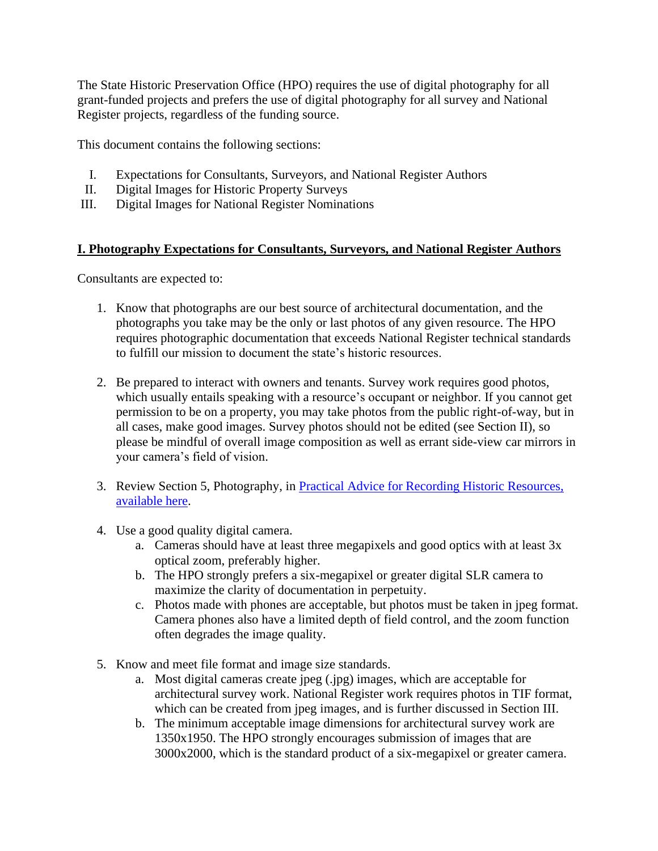The State Historic Preservation Office (HPO) requires the use of digital photography for all grant-funded projects and prefers the use of digital photography for all survey and National Register projects, regardless of the funding source.

This document contains the following sections:

- I. Expectations for Consultants, Surveyors, and National Register Authors
- II. Digital Images for Historic Property Surveys
- III. Digital Images for National Register Nominations

#### **I. Photography Expectations for Consultants, Surveyors, and National Register Authors**

Consultants are expected to:

- 1. Know that photographs are our best source of architectural documentation, and the photographs you take may be the only or last photos of any given resource. The HPO requires photographic documentation that exceeds National Register technical standards to fulfill our mission to document the state's historic resources.
- 2. Be prepared to interact with owners and tenants. Survey work requires good photos, which usually entails speaking with a resource's occupant or neighbor. If you cannot get permission to be on a property, you may take photos from the public right-of-way, but in all cases, make good images. Survey photos should not be edited (see Section II), so please be mindful of overall image composition as well as errant side-view car mirrors in your camera's field of vision.
- 3. Review Section 5, Photography, in [Practical Advice for Recording Historic Resources,](https://files.nc.gov/ncdcr/historic-preservation-office/survey-and-national-register/2021_Architectural-Survey-Manual_Practical-Advice-for-Recording-Historic-Resources.pdf)  [available here.](https://files.nc.gov/ncdcr/historic-preservation-office/survey-and-national-register/2021_Architectural-Survey-Manual_Practical-Advice-for-Recording-Historic-Resources.pdf)
- 4. Use a good quality digital camera.
	- a. Cameras should have at least three megapixels and good optics with at least 3x optical zoom, preferably higher.
	- b. The HPO strongly prefers a six-megapixel or greater digital SLR camera to maximize the clarity of documentation in perpetuity.
	- c. Photos made with phones are acceptable, but photos must be taken in jpeg format. Camera phones also have a limited depth of field control, and the zoom function often degrades the image quality.
- 5. Know and meet file format and image size standards.
	- a. Most digital cameras create jpeg (.jpg) images, which are acceptable for architectural survey work. National Register work requires photos in TIF format, which can be created from jpeg images, and is further discussed in Section III.
	- b. The minimum acceptable image dimensions for architectural survey work are 1350x1950. The HPO strongly encourages submission of images that are 3000x2000, which is the standard product of a six-megapixel or greater camera.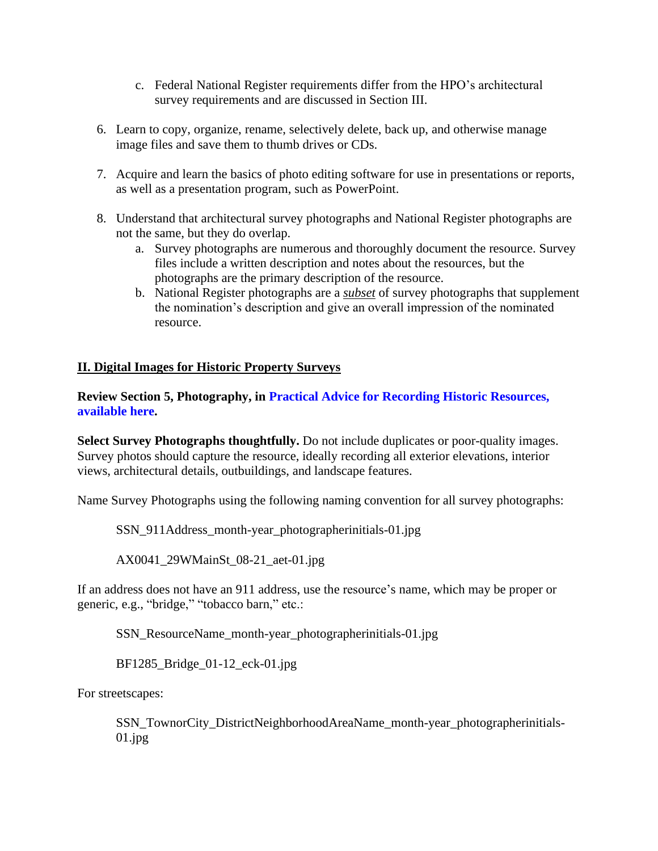- c. Federal National Register requirements differ from the HPO's architectural survey requirements and are discussed in Section III.
- 6. Learn to copy, organize, rename, selectively delete, back up, and otherwise manage image files and save them to thumb drives or CDs.
- 7. Acquire and learn the basics of photo editing software for use in presentations or reports, as well as a presentation program, such as PowerPoint.
- 8. Understand that architectural survey photographs and National Register photographs are not the same, but they do overlap.
	- a. Survey photographs are numerous and thoroughly document the resource. Survey files include a written description and notes about the resources, but the photographs are the primary description of the resource.
	- b. National Register photographs are a *subset* of survey photographs that supplement the nomination's description and give an overall impression of the nominated resource.

#### **II. Digital Images for Historic Property Surveys**

**Review Section 5, Photography, in [Practical Advice for Recording Historic Resources,](https://files.nc.gov/ncdcr/historic-preservation-office/survey-and-national-register/2021_Architectural-Survey-Manual_Practical-Advice-for-Recording-Historic-Resources.pdf)  [available here.](https://files.nc.gov/ncdcr/historic-preservation-office/survey-and-national-register/2021_Architectural-Survey-Manual_Practical-Advice-for-Recording-Historic-Resources.pdf)**

**Select Survey Photographs thoughtfully.** Do not include duplicates or poor-quality images. Survey photos should capture the resource, ideally recording all exterior elevations, interior views, architectural details, outbuildings, and landscape features.

Name Survey Photographs using the following naming convention for all survey photographs:

SSN\_911Address\_month-year\_photographerinitials-01.jpg

AX0041\_29WMainSt\_08-21\_aet-01.jpg

If an address does not have an 911 address, use the resource's name, which may be proper or generic, e.g., "bridge," "tobacco barn," etc.:

SSN\_ResourceName\_month-year\_photographerinitials-01.jpg

BF1285\_Bridge\_01-12\_eck-01.jpg

For streetscapes:

SSN\_TownorCity\_DistrictNeighborhoodAreaName\_month-year\_photographerinitials- $01.jpg$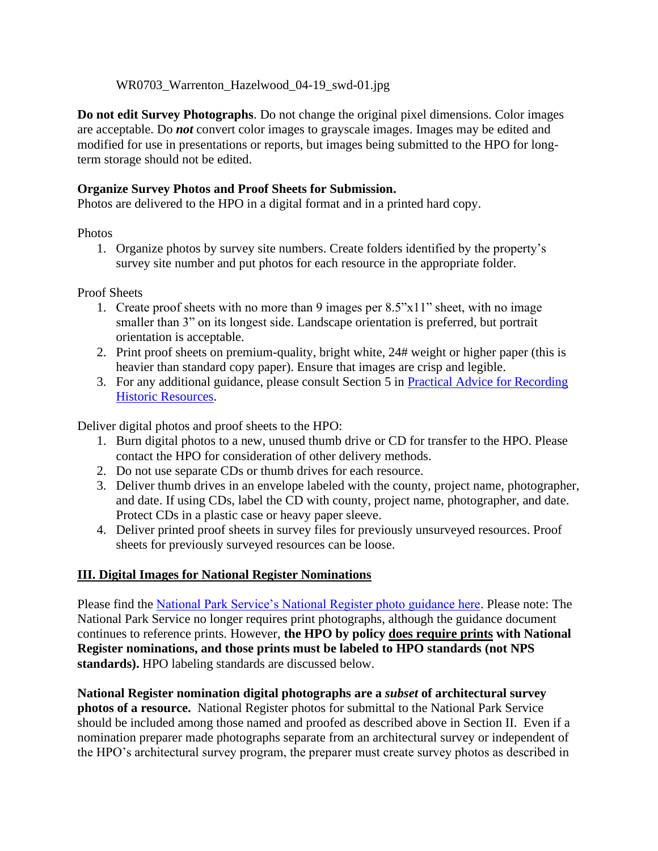WR0703 Warrenton Hazelwood 04-19 swd-01.jpg

**Do not edit Survey Photographs**. Do not change the original pixel dimensions. Color images are acceptable. Do *not* convert color images to grayscale images. Images may be edited and modified for use in presentations or reports, but images being submitted to the HPO for longterm storage should not be edited.

## **Organize Survey Photos and Proof Sheets for Submission.**

Photos are delivered to the HPO in a digital format and in a printed hard copy.

## Photos

1. Organize photos by survey site numbers. Create folders identified by the property's survey site number and put photos for each resource in the appropriate folder.

Proof Sheets

- 1. Create proof sheets with no more than 9 images per 8.5"x11" sheet, with no image smaller than 3" on its longest side. Landscape orientation is preferred, but portrait orientation is acceptable.
- 2. Print proof sheets on premium-quality, bright white, 24# weight or higher paper (this is heavier than standard copy paper). Ensure that images are crisp and legible.
- 3. For any additional guidance, please consult Section 5 in [Practical Advice for Recording](https://files.nc.gov/ncdcr/historic-preservation-office/survey-and-national-register/2021_Architectural-Survey-Manual_Practical-Advice-for-Recording-Historic-Resources.pdf)  [Historic Resources.](https://files.nc.gov/ncdcr/historic-preservation-office/survey-and-national-register/2021_Architectural-Survey-Manual_Practical-Advice-for-Recording-Historic-Resources.pdf)

Deliver digital photos and proof sheets to the HPO:

- 1. Burn digital photos to a new, unused thumb drive or CD for transfer to the HPO. Please contact the HPO for consideration of other delivery methods.
- 2. Do not use separate CDs or thumb drives for each resource.
- 3. Deliver thumb drives in an envelope labeled with the county, project name, photographer, and date. If using CDs, label the CD with county, project name, photographer, and date. Protect CDs in a plastic case or heavy paper sleeve.
- 4. Deliver printed proof sheets in survey files for previously unsurveyed resources. Proof sheets for previously surveyed resources can be loose.

# **III. Digital Images for National Register Nominations**

Please find the [National Park Service's National Register photo guidance here.](https://www.nps.gov/subjects/nationalregister/upload/Photo_Policy_update_2013_05_15_508.pdf) Please note: The National Park Service no longer requires print photographs, although the guidance document continues to reference prints. However, **the HPO by policy does require prints with National Register nominations, and those prints must be labeled to HPO standards (not NPS standards).** HPO labeling standards are discussed below.

**National Register nomination digital photographs are a** *subset* **of architectural survey photos of a resource.** National Register photos for submittal to the National Park Service should be included among those named and proofed as described above in Section II. Even if a nomination preparer made photographs separate from an architectural survey or independent of the HPO's architectural survey program, the preparer must create survey photos as described in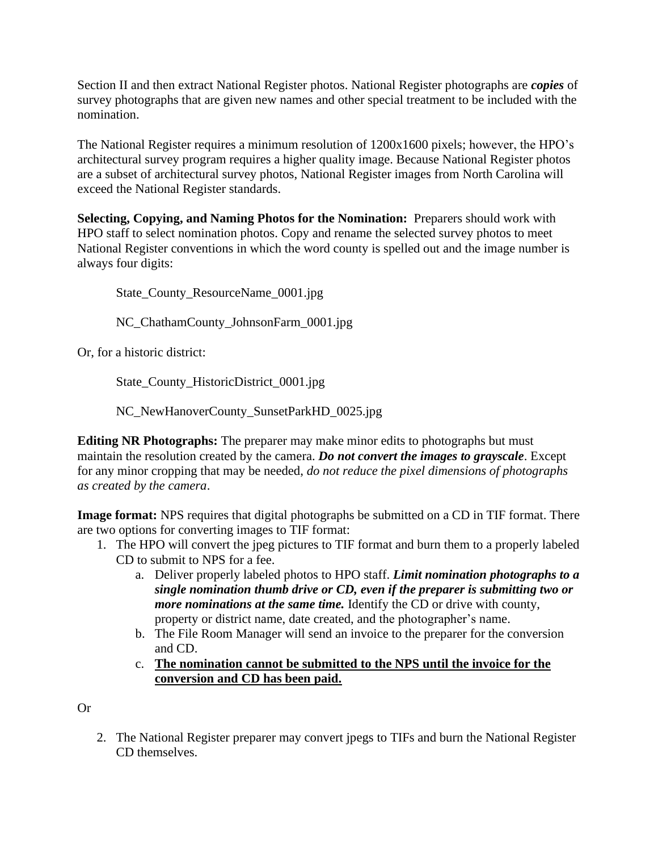Section II and then extract National Register photos. National Register photographs are *copies* of survey photographs that are given new names and other special treatment to be included with the nomination.

The National Register requires a minimum resolution of 1200x1600 pixels; however, the HPO's architectural survey program requires a higher quality image. Because National Register photos are a subset of architectural survey photos, National Register images from North Carolina will exceed the National Register standards.

**Selecting, Copying, and Naming Photos for the Nomination:** Preparers should work with HPO staff to select nomination photos. Copy and rename the selected survey photos to meet National Register conventions in which the word county is spelled out and the image number is always four digits:

State\_County\_ResourceName\_0001.jpg

NC\_ChathamCounty\_JohnsonFarm\_0001.jpg

Or, for a historic district:

State\_County\_HistoricDistrict\_0001.jpg

NC\_NewHanoverCounty\_SunsetParkHD\_0025.jpg

**Editing NR Photographs:** The preparer may make minor edits to photographs but must maintain the resolution created by the camera. *Do not convert the images to grayscale*. Except for any minor cropping that may be needed, *do not reduce the pixel dimensions of photographs as created by the camera*.

**Image format:** NPS requires that digital photographs be submitted on a CD in TIF format. There are two options for converting images to TIF format:

- 1. The HPO will convert the jpeg pictures to TIF format and burn them to a properly labeled CD to submit to NPS for a fee.
	- a. Deliver properly labeled photos to HPO staff. *Limit nomination photographs to a single nomination thumb drive or CD, even if the preparer is submitting two or more nominations at the same time.* Identify the CD or drive with county, property or district name, date created, and the photographer's name.
	- b. The File Room Manager will send an invoice to the preparer for the conversion and CD.
	- c. **The nomination cannot be submitted to the NPS until the invoice for the conversion and CD has been paid.**

Or

2. The National Register preparer may convert jpegs to TIFs and burn the National Register CD themselves.